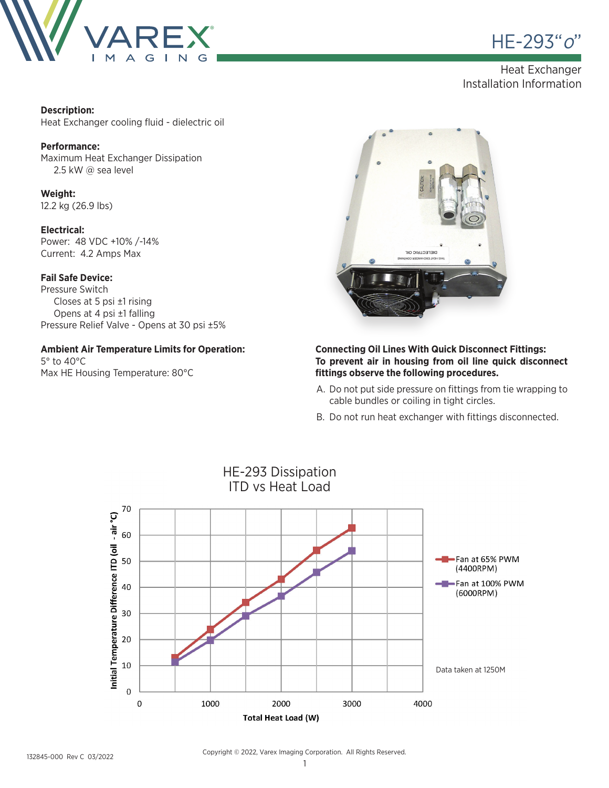



## Heat Exchanger Installation Information

#### **Description:**

Heat Exchanger cooling fluid - dielectric oil

#### **Performance:**

Maximum Heat Exchanger Dissipation 2.5 kW @ sea level

**Weight:** 12.2 kg (26.9 lbs)

#### **Electrical:**

Power: 48 VDC +10% /-14% Current: 4.2 Amps Max

#### **Fail Safe Device:**

Pressure Switch Closes at 5 psi ±1 rising Opens at 4 psi ±1 falling Pressure Relief Valve - Opens at 30 psi ±5%

## **Ambient Air Temperature Limits for Operation:**

5° to 40°C Max HE Housing Temperature: 80°C



#### **Connecting Oil Lines With Quick Disconnect Fittings: To prevent air in housing from oil line quick disconnect fittings observe the following procedures.**

- A. Do not put side pressure on fittings from tie wrapping to cable bundles or coiling in tight circles.
- B. Do not run heat exchanger with fittings disconnected.



Copyright © 2022, Varex Imaging Corporation. All Rights Reserved.